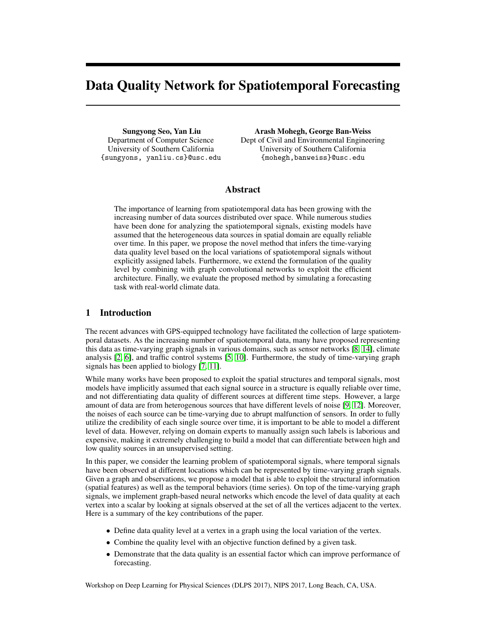# Data Quality Network for Spatiotemporal Forecasting

Sungyong Seo, Yan Liu Department of Computer Science University of Southern California {sungyons, yanliu.cs}@usc.edu

Arash Mohegh, George Ban-Weiss Dept of Civil and Environmental Engineering University of Southern California {mohegh,banweiss}@usc.edu

### Abstract

The importance of learning from spatiotemporal data has been growing with the increasing number of data sources distributed over space. While numerous studies have been done for analyzing the spatiotemporal signals, existing models have assumed that the heterogeneous data sources in spatial domain are equally reliable over time. In this paper, we propose the novel method that infers the time-varying data quality level based on the local variations of spatiotemporal signals without explicitly assigned labels. Furthermore, we extend the formulation of the quality level by combining with graph convolutional networks to exploit the efficient architecture. Finally, we evaluate the proposed method by simulating a forecasting task with real-world climate data.

## 1 Introduction

The recent advances with GPS-equipped technology have facilitated the collection of large spatiotemporal datasets. As the increasing number of spatiotemporal data, many have proposed representing this data as time-varying graph signals in various domains, such as sensor networks [\[8,](#page-4-0) [14\]](#page-4-1), climate analysis [\[2,](#page-4-2) [6\]](#page-4-3), and traffic control systems [\[5,](#page-4-4) [10\]](#page-4-5). Furthermore, the study of time-varying graph signals has been applied to biology [\[7,](#page-4-6) [11\]](#page-4-7).

While many works have been proposed to exploit the spatial structures and temporal signals, most models have implicitly assumed that each signal source in a structure is equally reliable over time, and not differentiating data quality of different sources at different time steps. However, a large amount of data are from heterogenous sources that have different levels of noise [\[9,](#page-4-8) [12\]](#page-4-9). Moreover, the noises of each source can be time-varying due to abrupt malfunction of sensors. In order to fully utilize the credibility of each single source over time, it is important to be able to model a different level of data. However, relying on domain experts to manually assign such labels is laborious and expensive, making it extremely challenging to build a model that can differentiate between high and low quality sources in an unsupervised setting.

In this paper, we consider the learning problem of spatiotemporal signals, where temporal signals have been observed at different locations which can be represented by time-varying graph signals. Given a graph and observations, we propose a model that is able to exploit the structural information (spatial features) as well as the temporal behaviors (time series). On top of the time-varying graph signals, we implement graph-based neural networks which encode the level of data quality at each vertex into a scalar by looking at signals observed at the set of all the vertices adjacent to the vertex. Here is a summary of the key contributions of the paper.

- Define data quality level at a vertex in a graph using the local variation of the vertex.
- Combine the quality level with an objective function defined by a given task.
- Demonstrate that the data quality is an essential factor which can improve performance of forecasting.

Workshop on Deep Learning for Physical Sciences (DLPS 2017), NIPS 2017, Long Beach, CA, USA.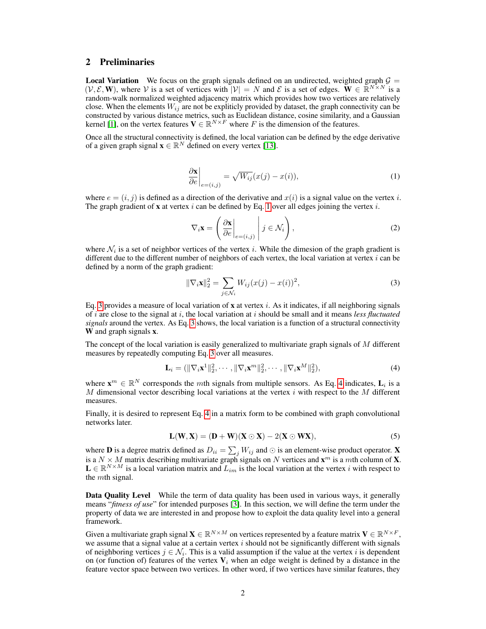#### 2 Preliminaries

**Local Variation** We focus on the graph signals defined on an undirected, weighted graph  $G =$  $(V, \mathcal{E}, \mathbf{W})$ , where V is a set of vertices with  $|V| = N$  and E is a set of edges.  $\mathbf{W} \in \mathbb{R}^{N \times N}$  is a random-walk normalized weighted adjacency matrix which provides how two vertices are relatively close. When the elements  $W_{ij}$  are not be expliticly provided by dataset, the graph connectivity can be constructed by various distance metrics, such as Euclidean distance, cosine similarity, and a Gaussian kernel [\[1\]](#page-4-10), on the vertex features  $V \in \mathbb{R}^{N \times F}$  where F is the dimension of the features.

Once all the structural connectivity is defined, the local variation can be defined by the edge derivative of a given graph signal  $\mathbf{x} \in \mathbb{R}^N$  defined on every vertex [\[13\]](#page-4-11).

<span id="page-1-0"></span>
$$
\left. \frac{\partial \mathbf{x}}{\partial e} \right|_{e=(i,j)} = \sqrt{W_{ij}} (x(j) - x(i)),\tag{1}
$$

where  $e = (i, j)$  is defined as a direction of the derivative and  $x(i)$  is a signal value on the vertex i. The graph gradient of **x** at vertex i can be defined by Eq. [1](#page-1-0) over all edges joining the vertex i.

$$
\nabla_i \mathbf{x} = \left( \left. \frac{\partial \mathbf{x}}{\partial e} \right|_{e=(i,j)} \middle| j \in \mathcal{N}_i \right),\tag{2}
$$

where  $\mathcal{N}_i$  is a set of neighbor vertices of the vertex i. While the dimesion of the graph gradient is different due to the different number of neighbors of each vertex, the local variation at vertex  $i$  can be defined by a norm of the graph gradient:

<span id="page-1-2"></span><span id="page-1-1"></span>
$$
\|\nabla_i \mathbf{x}\|_2^2 = \sum_{j \in \mathcal{N}_i} W_{ij} (x(j) - x(i))^2,
$$
 (3)

Eq. [3](#page-1-1) provides a measure of local variation of  $x$  at vertex i. As it indicates, if all neighboring signals of i are close to the signal at i, the local variation at i should be small and it means *less fluctuated signals* around the vertex. As Eq. [3](#page-1-1) shows, the local variation is a function of a structural connectivity W and graph signals **x**.

The concept of the local variation is easily generalized to multivariate graph signals of M different measures by repeatedly computing Eq. [3](#page-1-1) over all measures.

$$
\mathbf{L}_i = (\|\nabla_i \mathbf{x}^1\|_2^2, \cdots, \|\nabla_i \mathbf{x}^m\|_2^2, \cdots, \|\nabla_i \mathbf{x}^M\|_2^2),
$$
\n(4)

where  $\mathbf{x}^m \in \mathbb{R}^N$  corresponds the mth signals from multiple sensors. As Eq. [4](#page-1-2) indicates,  $\mathbf{L}_i$  is a M dimensional vector describing local variations at the vertex  $i$  with respect to the M different measures.

Finally, it is desired to represent Eq. [4](#page-1-2) in a matrix form to be combined with graph convolutional networks later.

$$
\mathbf{L}(\mathbf{W}, \mathbf{X}) = (\mathbf{D} + \mathbf{W})(\mathbf{X} \odot \mathbf{X}) - 2(\mathbf{X} \odot \mathbf{W}\mathbf{X}),
$$
\n(5)

where **D** is a degree matrix defined as  $D_{ii} = \sum_j W_{ij}$  and  $\odot$  is an element-wise product operator. **X** is a  $N \times M$  matrix describing multivariate graph signals on N vertices and  $\mathbf{x}^m$  is a mth column of **X**.  $\mathbf{L} \in \mathbb{R}^{N \times M}$  is a local variation matrix and  $L_{im}$  is the local variation at the vertex i with respect to the mth signal.

<span id="page-1-3"></span>Data Quality Level While the term of data quality has been used in various ways, it generally means "*fitness of use*" for intended purposes [\[3\]](#page-4-12). In this section, we will define the term under the property of data we are interested in and propose how to exploit the data quality level into a general framework.

Given a multivariate graph signal  $\mathbf{X} \in \mathbb{R}^{N \times M}$  on vertices represented by a feature matrix  $\mathbf{V} \in \mathbb{R}^{N \times F}$ , we assume that a signal value at a certain vertex  $i$  should not be significantly different with signals of neighboring vertices  $j \in \mathcal{N}_i$ . This is a valid assumption if the value at the vertex i is dependent on (or function of) features of the vertex  $V_i$  when an edge weight is defined by a distance in the feature vector space between two vertices. In other word, if two vertices have similar features, they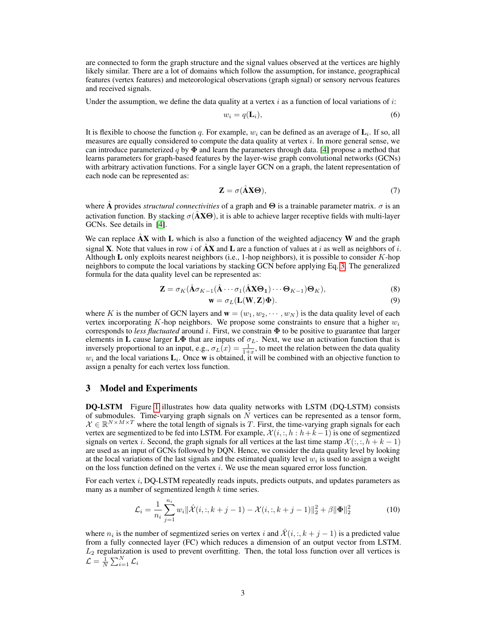are connected to form the graph structure and the signal values observed at the vertices are highly likely similar. There are a lot of domains which follow the assumption, for instance, geographical features (vertex features) and meteorological observations (graph signal) or sensory nervous features and received signals.

Under the assumption, we define the data quality at a vertex  $i$  as a function of local variations of  $i$ :

$$
w_i = q(\mathbf{L}_i),\tag{6}
$$

It is flexible to choose the function q. For example,  $w_i$  can be defined as an average of  $\mathbf{L}_i$ . If so, all measures are equally considered to compute the data quality at vertex  $i$ . In more general sense, we can introduce parameterized q by  $\Phi$  and learn the parameters through data. [\[4\]](#page-4-13) propose a method that learns parameters for graph-based features by the layer-wise graph convolutional networks (GCNs) with arbitrary activation functions. For a single layer GCN on a graph, the latent representation of each node can be represented as:

$$
\mathbf{Z} = \sigma(\hat{\mathbf{A}}\mathbf{X}\mathbf{\Theta}),\tag{7}
$$

where A provides *structural connectivities* of a graph and  $\Theta$  is a trainable parameter matrix.  $\sigma$  is an activation function. By stacking  $\sigma(A\mathbf{X}\Theta)$ , it is able to achieve larger receptive fields with multi-layer GCNs. See details in [\[4\]](#page-4-13).

We can replace  $AX$  with L which is also a function of the weighted adjacency W and the graph signal **X**. Note that values in row i of  $\hat{A}X$  and L are a function of values at i as well as neighbors of i. Although L only exploits nearest neighbors (i.e., 1-hop neighbors), it is possible to consider  $K$ -hop neighbors to compute the local variations by stacking GCN before applying Eq. [3.](#page-1-1) The generalized formula for the data quality level can be represented as:

$$
\mathbf{Z} = \sigma_K(\hat{\mathbf{A}}\sigma_{K-1}(\hat{\mathbf{A}}\cdots\sigma_1(\hat{\mathbf{A}}\mathbf{X}\mathbf{\Theta}_1)\cdots\mathbf{\Theta}_{K-1})\mathbf{\Theta}_K),
$$
\n(8)

$$
\mathbf{w} = \sigma_L(\mathbf{L}(\mathbf{W}, \mathbf{Z})\mathbf{\Phi}).\tag{9}
$$

where K is the number of GCN layers and  $\mathbf{w} = (w_1, w_2, \dots, w_N)$  is the data quality level of each vertex incorporating K-hop neighbors. We propose some constraints to ensure that a higher  $w_i$ corresponds to *less fluctuated* around i. First, we constrain Φ to be positive to guarantee that larger elements in L cause larger L $\Phi$  that are inputs of  $\sigma_L$ . Next, we use an activation function that is inversely proportional to an input, e.g.,  $\sigma_L(x) = \frac{1}{1+x}$ , to meet the relation between the data quality  $w_i$  and the local variations  $\mathbf{L}_i$ . Once w is obtained, it will be combined with an objective function to assign a penalty for each vertex loss function.

#### 3 Model and Experiments

DQ-LSTM Figure [1](#page-3-0) illustrates how data quality networks with LSTM (DQ-LSTM) consists of submodules. Time-varying graph signals on  $N$  vertices can be represented as a tensor form,  $\mathcal{X} \in \mathbb{R}^{N \times M \times T}$  where the total length of signals is T. First, the time-varying graph signals for each vertex are segmentized to be fed into LSTM. For example,  $\mathcal{X}(i, j, h : h + k-1)$  is one of segmentized signals on vertex i. Second, the graph signals for all vertices at the last time stamp  $\mathcal{X}(:,, h+k-1)$ are used as an input of GCNs followed by DQN. Hence, we consider the data quality level by looking at the local variations of the last signals and the estimated quality level  $w_i$  is used to assign a weight on the loss function defined on the vertex  $i$ . We use the mean squared error loss function.

For each vertex  $i$ , DQ-LSTM repeatedly reads inputs, predicts outputs, and updates parameters as many as a number of segmentized length  $k$  time series.

$$
\mathcal{L}_i = \frac{1}{n_i} \sum_{j=1}^{n_i} w_i ||\hat{\mathcal{X}}(i, :, k+j-1) - \mathcal{X}(i, :, k+j-1) ||_2^2 + \beta ||\mathbf{\Phi}||_2^2
$$
(10)

where  $n_i$  is the number of segmentized series on vertex i and  $\hat{\mathcal{X}}(i, k + j - 1)$  is a predicted value from a fully connected layer (FC) which reduces a dimension of an output vector from LSTM.  $L_2$  regularization is used to prevent overfitting. Then, the total loss function over all vertices is  $\mathcal{L} = \frac{1}{N}\sum_{i=1}^N \mathcal{L}_i$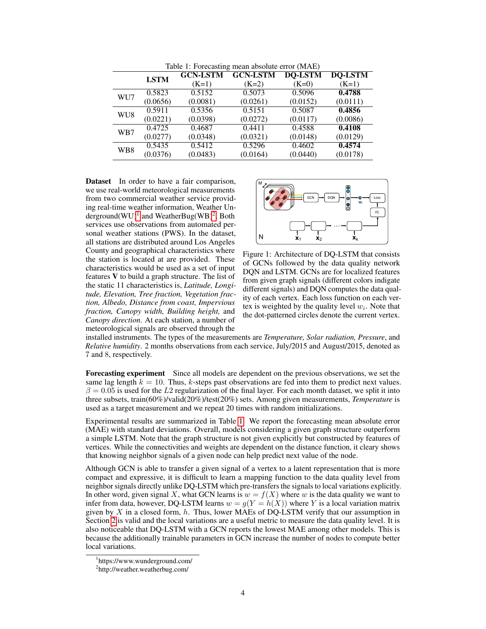<span id="page-3-3"></span>

| $14010$ 1. I organisating integer absorbed to $(111111)$ |             |                 |                 |                |                |
|----------------------------------------------------------|-------------|-----------------|-----------------|----------------|----------------|
|                                                          | <b>LSTM</b> | <b>GCN-LSTM</b> | <b>GCN-LSTM</b> | <b>DO-LSTM</b> | <b>DQ-LSTM</b> |
|                                                          |             | $(K=1)$         | $(K=2)$         | $(K=0)$        | $(K=1)$        |
| WU7                                                      | 0.5823      | 0.5152          | 0.5073          | 0.5096         | 0.4788         |
|                                                          | (0.0656)    | (0.0081)        | (0.0261)        | (0.0152)       | (0.0111)       |
| WU8                                                      | 0.5911      | 0.5356          | 0.5151          | 0.5087         | 0.4856         |
|                                                          | (0.0221)    | (0.0398)        | (0.0272)        | (0.0117)       | (0.0086)       |
| WB7                                                      | 0.4725      | 0.4687          | 0.4411          | 0.4588         | 0.4108         |
|                                                          | (0.0277)    | (0.0348)        | (0.0321)        | (0.0148)       | (0.0129)       |
| WB8                                                      | 0.5435      | 0.5412          | 0.5296          | 0.4602         | 0.4574         |
|                                                          | (0.0376)    | (0.0483)        | (0.0164)        | (0.0440)       | (0.0178)       |

Table 1: Forecasting mean absolute error (MAE)

Dataset In order to have a fair comparison, we use real-world meteorological measurements from two commercial weather service providing real-time weather information, Weather Underground $(WU)^{1}$  $(WU)^{1}$  $(WU)^{1}$  and WeatherBug $(WB)^{2}$  $(WB)^{2}$  $(WB)^{2}$ . Both services use observations from automated personal weather stations (PWS). In the dataset, all stations are distributed around Los Angeles County and geographical characteristics where the station is located at are provided. These characteristics would be used as a set of input features V to build a graph structure. The list of the static 11 characteristics is, *Latitude, Longitude, Elevation, Tree fraction, Vegetation fraction, Albedo, Distance from coast, Impervious fraction, Canopy width, Building height,* and *Canopy direction*. At each station, a number of meteorological signals are observed through the

<span id="page-3-0"></span>

Figure 1: Architecture of DQ-LSTM that consists of GCNs followed by the data quality network DQN and LSTM. GCNs are for localized features from given graph signals (different colors indigate different signals) and DQN computes the data quality of each vertex. Each loss function on each vertex is weighted by the quality level  $w_i$ . Note that the dot-patterned circles denote the current vertex.

installed instruments. The types of the measurements are *Temperature, Solar radiation, Pressure*, and *Relative humidity*. 2 months observations from each service, July/2015 and August/2015, denoted as 7 and 8, respectively.

Forecasting experiment Since all models are dependent on the previous observations, we set the same lag length  $k = 10$ . Thus, k-steps past observations are fed into them to predict next values.  $\beta = 0.05$  is used for the L2 regularization of the final layer. For each month dataset, we split it into three subsets, train(60%)/valid(20%)/test(20%) sets. Among given measurements, *Temperature* is used as a target measurement and we repeat 20 times with random initializations.

Experimental results are summarized in Table [1.](#page-3-3) We report the forecasting mean absolute error (MAE) with standard deviations. Overall, models considering a given graph structure outperform a simple LSTM. Note that the graph structure is not given explicitly but constructed by features of vertices. While the connectivities and weights are dependent on the distance function, it cleary shows that knowing neighbor signals of a given node can help predict next value of the node.

Although GCN is able to transfer a given signal of a vertex to a latent representation that is more compact and expressive, it is difficult to learn a mapping function to the data quality level from neighbor signals directly unlike DQ-LSTM which pre-transfers the signals to local variations explicitly. In other word, given signal X, what GCN learns is  $w = f(X)$  where w is the data quality we want to infer from data, however, DQ-LSTM learns  $w = g(Y = h(X))$  where Y is a local variation matrix given by X in a closed form,  $h$ . Thus, lower MAEs of DQ-LSTM verify that our assumption in Section [2](#page-1-3) is valid and the local variations are a useful metric to measure the data quality level. It is also noticeable that DQ-LSTM with a GCN reports the lowest MAE among other models. This is because the additionally trainable parameters in GCN increase the number of nodes to compute better local variations.

<span id="page-3-1"></span><sup>1</sup> https://www.wunderground.com/

<span id="page-3-2"></span><sup>&</sup>lt;sup>2</sup>http://weather.weatherbug.com/